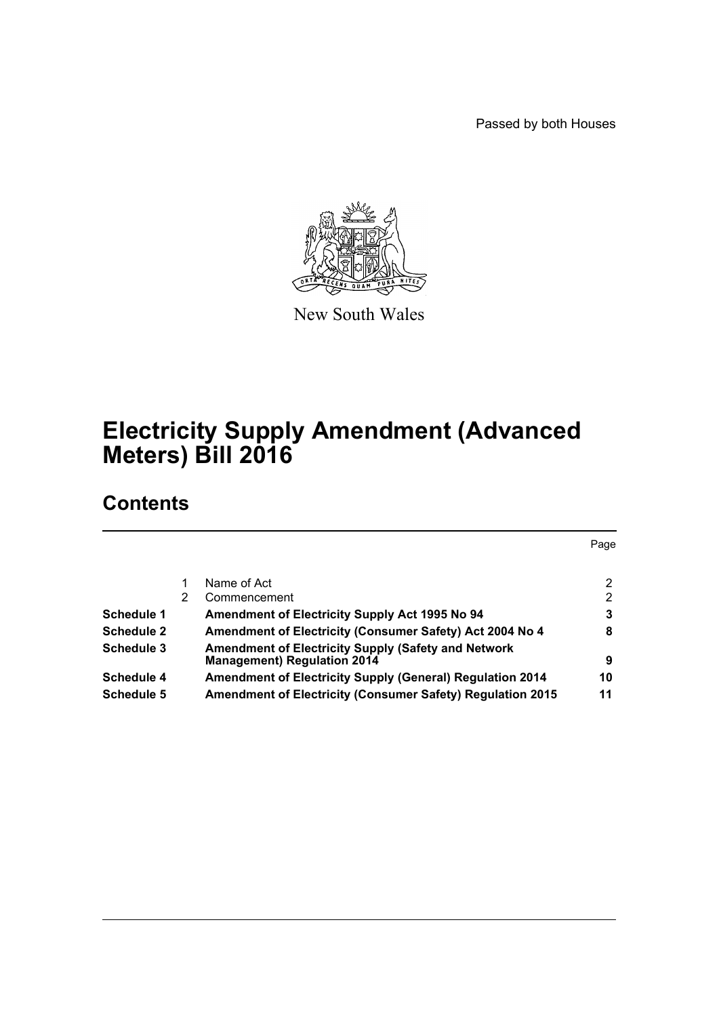Passed by both Houses



New South Wales

# **Electricity Supply Amendment (Advanced Meters) Bill 2016**

## **Contents**

|                   |   |                                                                                                  | Page |
|-------------------|---|--------------------------------------------------------------------------------------------------|------|
|                   |   |                                                                                                  |      |
|                   |   | Name of Act                                                                                      | 2    |
|                   | 2 | Commencement                                                                                     | 2    |
| Schedule 1        |   | <b>Amendment of Electricity Supply Act 1995 No 94</b>                                            | 3    |
| <b>Schedule 2</b> |   | Amendment of Electricity (Consumer Safety) Act 2004 No 4                                         | 8    |
| Schedule 3        |   | <b>Amendment of Electricity Supply (Safety and Network</b><br><b>Management) Regulation 2014</b> | 9    |
| Schedule 4        |   | <b>Amendment of Electricity Supply (General) Regulation 2014</b>                                 | 10   |
| Schedule 5        |   | <b>Amendment of Electricity (Consumer Safety) Regulation 2015</b>                                | 11   |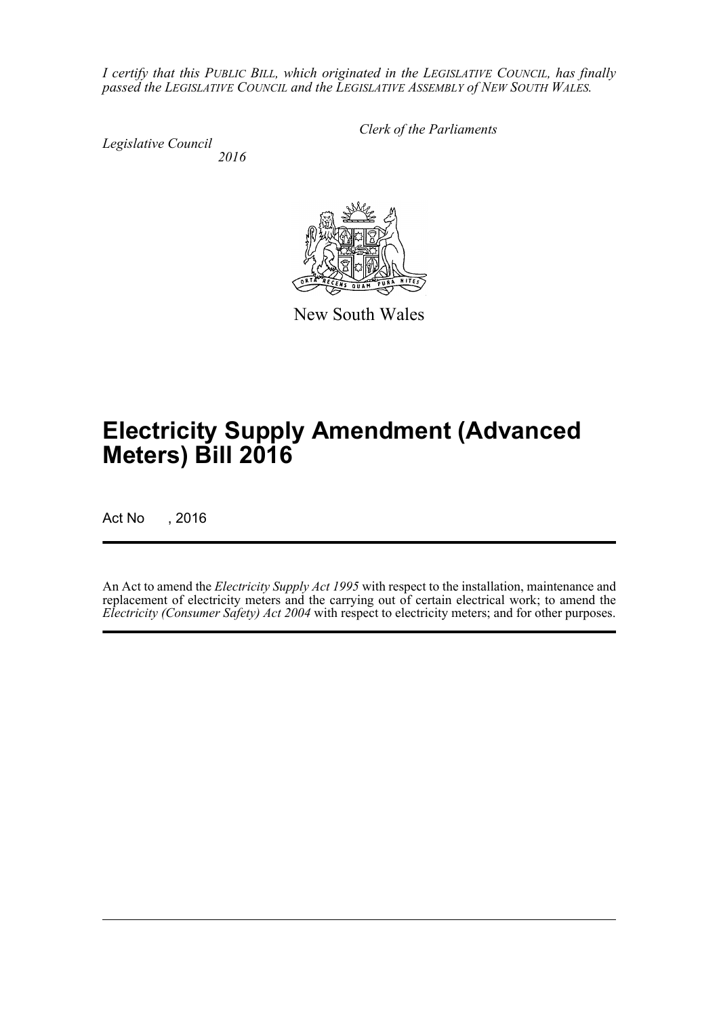*I certify that this PUBLIC BILL, which originated in the LEGISLATIVE COUNCIL, has finally passed the LEGISLATIVE COUNCIL and the LEGISLATIVE ASSEMBLY of NEW SOUTH WALES.*

*Legislative Council 2016* *Clerk of the Parliaments*

New South Wales

# **Electricity Supply Amendment (Advanced Meters) Bill 2016**

Act No , 2016

An Act to amend the *Electricity Supply Act 1995* with respect to the installation, maintenance and replacement of electricity meters and the carrying out of certain electrical work; to amend the *Electricity (Consumer Safety) Act 2004* with respect to electricity meters; and for other purposes.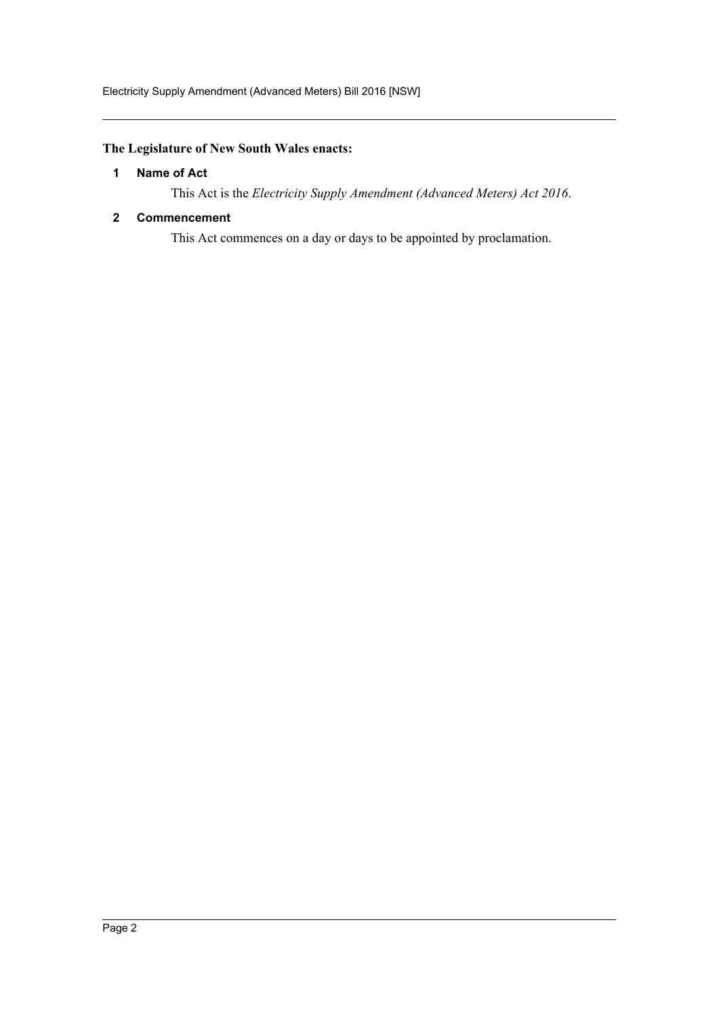#### <span id="page-2-0"></span>**The Legislature of New South Wales enacts:**

#### **1 Name of Act**

This Act is the *Electricity Supply Amendment (Advanced Meters) Act 2016*.

#### <span id="page-2-1"></span>**2 Commencement**

This Act commences on a day or days to be appointed by proclamation.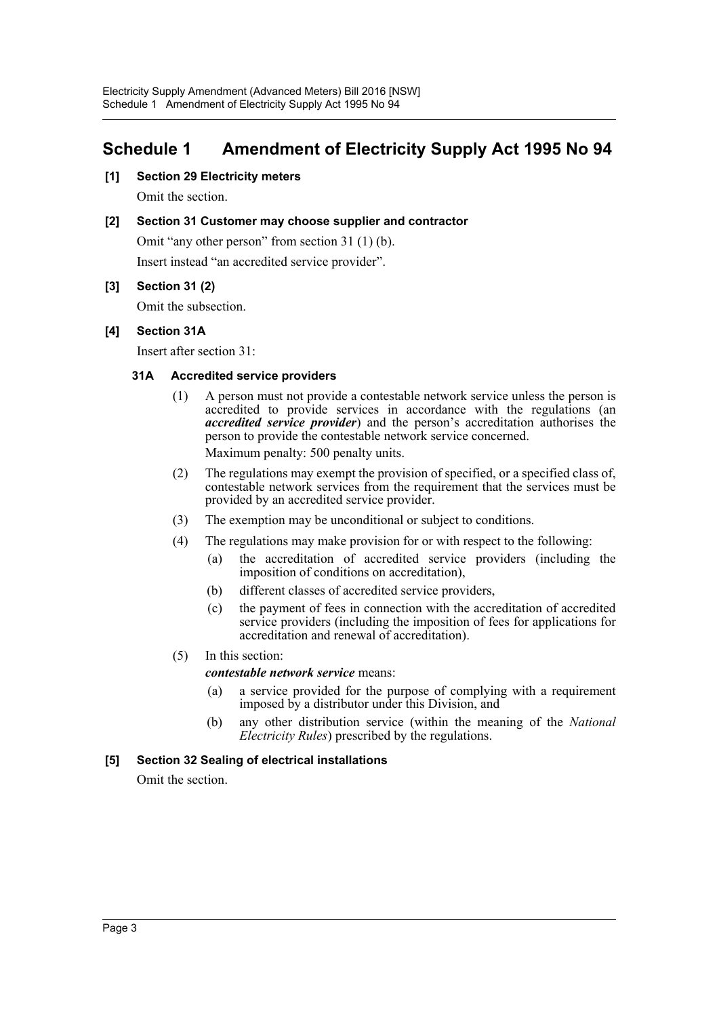## <span id="page-3-0"></span>**Schedule 1 Amendment of Electricity Supply Act 1995 No 94**

**[1] Section 29 Electricity meters**

Omit the section.

#### **[2] Section 31 Customer may choose supplier and contractor**

Omit "any other person" from section 31 (1) (b).

Insert instead "an accredited service provider".

#### **[3] Section 31 (2)**

Omit the subsection.

#### **[4] Section 31A**

Insert after section 31:

#### **31A Accredited service providers**

- (1) A person must not provide a contestable network service unless the person is accredited to provide services in accordance with the regulations (an *accredited service provider*) and the person's accreditation authorises the person to provide the contestable network service concerned. Maximum penalty: 500 penalty units.
- (2) The regulations may exempt the provision of specified, or a specified class of, contestable network services from the requirement that the services must be provided by an accredited service provider.
- (3) The exemption may be unconditional or subject to conditions.
- (4) The regulations may make provision for or with respect to the following:
	- (a) the accreditation of accredited service providers (including the imposition of conditions on accreditation),
	- (b) different classes of accredited service providers,
	- (c) the payment of fees in connection with the accreditation of accredited service providers (including the imposition of fees for applications for accreditation and renewal of accreditation).
- (5) In this section:

#### *contestable network service* means:

- (a) a service provided for the purpose of complying with a requirement imposed by a distributor under this Division, and
- (b) any other distribution service (within the meaning of the *National Electricity Rules*) prescribed by the regulations.

#### **[5] Section 32 Sealing of electrical installations**

Omit the section.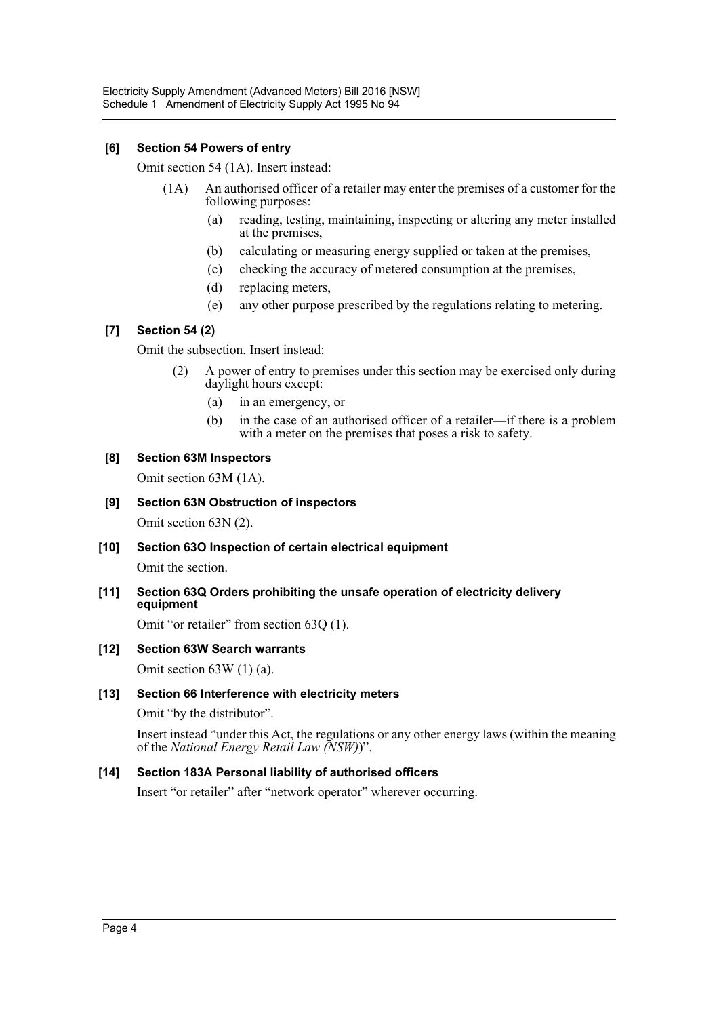#### **[6] Section 54 Powers of entry**

Omit section 54 (1A). Insert instead:

- (1A) An authorised officer of a retailer may enter the premises of a customer for the following purposes:
	- (a) reading, testing, maintaining, inspecting or altering any meter installed at the premises,
	- (b) calculating or measuring energy supplied or taken at the premises,
	- (c) checking the accuracy of metered consumption at the premises,
	- (d) replacing meters,
	- (e) any other purpose prescribed by the regulations relating to metering.

#### **[7] Section 54 (2)**

Omit the subsection. Insert instead:

- (2) A power of entry to premises under this section may be exercised only during daylight hours except:
	- (a) in an emergency, or
	- (b) in the case of an authorised officer of a retailer—if there is a problem with a meter on the premises that poses a risk to safety.

#### **[8] Section 63M Inspectors**

Omit section 63M (1A).

## **[9] Section 63N Obstruction of inspectors**

Omit section 63N (2).

**[10] Section 63O Inspection of certain electrical equipment**

Omit the section.

**[11] Section 63Q Orders prohibiting the unsafe operation of electricity delivery equipment**

Omit "or retailer" from section 63Q (1).

#### **[12] Section 63W Search warrants**

Omit section 63W (1) (a).

#### **[13] Section 66 Interference with electricity meters**

Omit "by the distributor".

Insert instead "under this Act, the regulations or any other energy laws (within the meaning of the *National Energy Retail Law (NSW)*)".

#### **[14] Section 183A Personal liability of authorised officers**

Insert "or retailer" after "network operator" wherever occurring.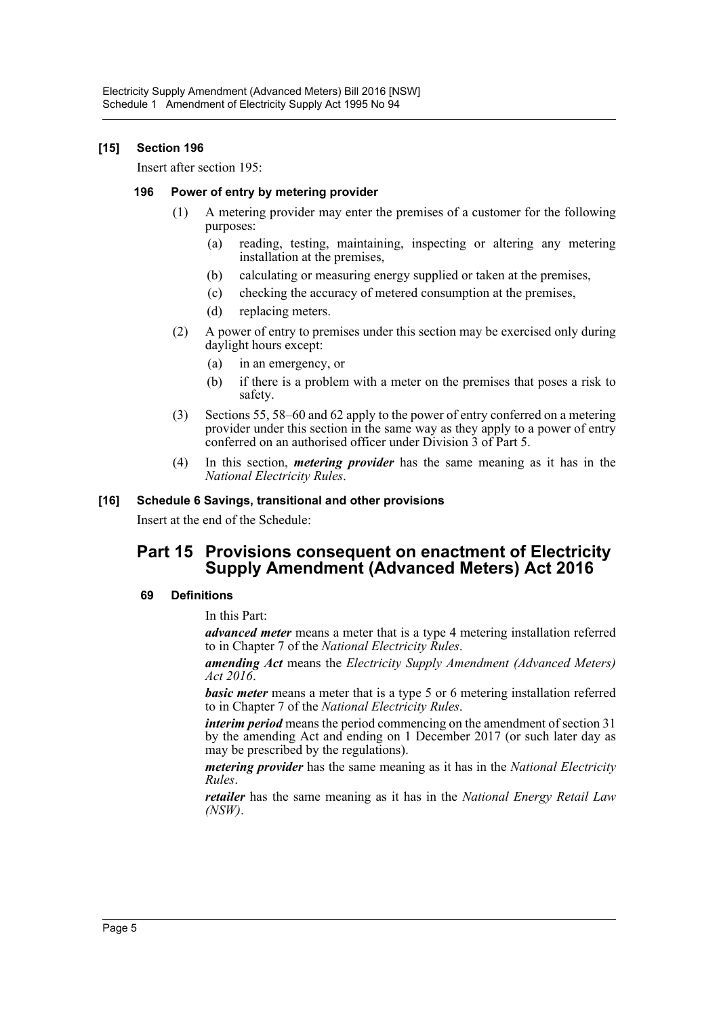#### **[15] Section 196**

Insert after section 195:

#### **196 Power of entry by metering provider**

- (1) A metering provider may enter the premises of a customer for the following purposes:
	- (a) reading, testing, maintaining, inspecting or altering any metering installation at the premises,
	- (b) calculating or measuring energy supplied or taken at the premises,
	- (c) checking the accuracy of metered consumption at the premises,
	- (d) replacing meters.
- (2) A power of entry to premises under this section may be exercised only during daylight hours except:
	- (a) in an emergency, or
	- (b) if there is a problem with a meter on the premises that poses a risk to safety.
- (3) Sections 55, 58–60 and 62 apply to the power of entry conferred on a metering provider under this section in the same way as they apply to a power of entry conferred on an authorised officer under Division 3 of Part 5.
- (4) In this section, *metering provider* has the same meaning as it has in the *National Electricity Rules*.

#### **[16] Schedule 6 Savings, transitional and other provisions**

Insert at the end of the Schedule:

### **Part 15 Provisions consequent on enactment of Electricity Supply Amendment (Advanced Meters) Act 2016**

#### **69 Definitions**

In this Part:

*advanced meter* means a meter that is a type 4 metering installation referred to in Chapter 7 of the *National Electricity Rules*.

*amending Act* means the *Electricity Supply Amendment (Advanced Meters) Act 2016*.

*basic meter* means a meter that is a type 5 or 6 metering installation referred to in Chapter 7 of the *National Electricity Rules*.

*interim period* means the period commencing on the amendment of section 31 by the amending Act and ending on 1 December 2017 (or such later day as may be prescribed by the regulations).

*metering provider* has the same meaning as it has in the *National Electricity Rules*.

*retailer* has the same meaning as it has in the *National Energy Retail Law (NSW)*.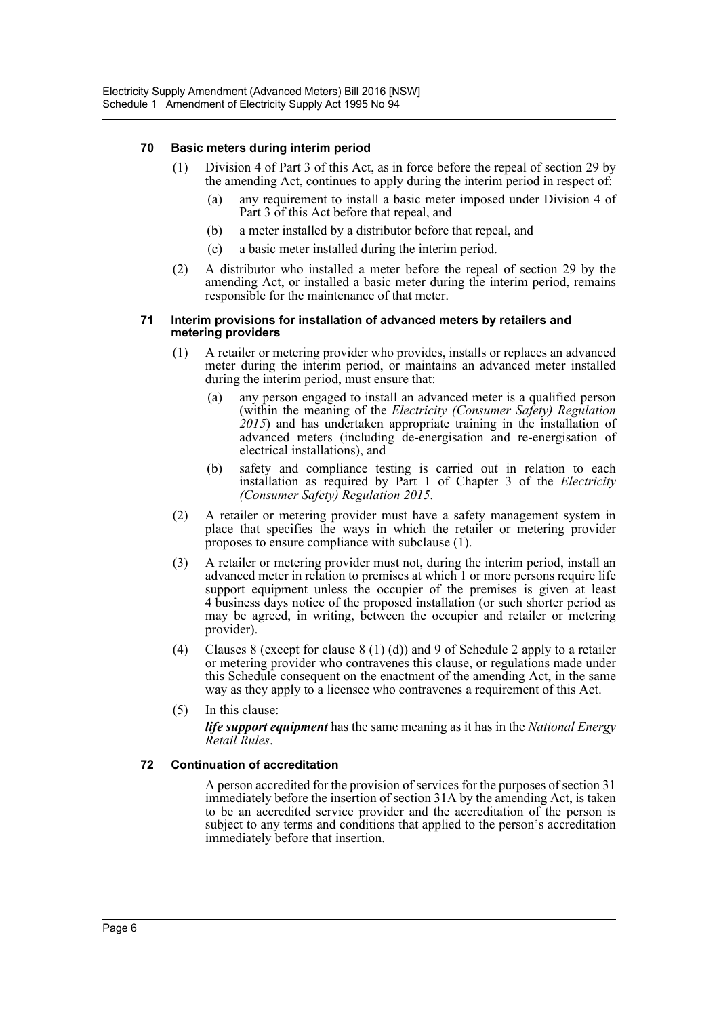#### **70 Basic meters during interim period**

- (1) Division 4 of Part 3 of this Act, as in force before the repeal of section 29 by the amending Act, continues to apply during the interim period in respect of:
	- (a) any requirement to install a basic meter imposed under Division 4 of Part 3 of this Act before that repeal, and
	- (b) a meter installed by a distributor before that repeal, and
	- (c) a basic meter installed during the interim period.
- (2) A distributor who installed a meter before the repeal of section 29 by the amending Act, or installed a basic meter during the interim period, remains responsible for the maintenance of that meter.

#### **71 Interim provisions for installation of advanced meters by retailers and metering providers**

- (1) A retailer or metering provider who provides, installs or replaces an advanced meter during the interim period, or maintains an advanced meter installed during the interim period, must ensure that:
	- (a) any person engaged to install an advanced meter is a qualified person (within the meaning of the *Electricity (Consumer Safety) Regulation 2015*) and has undertaken appropriate training in the installation of advanced meters (including de-energisation and re-energisation of electrical installations), and
	- (b) safety and compliance testing is carried out in relation to each installation as required by Part 1 of Chapter 3 of the *Electricity (Consumer Safety) Regulation 2015*.
- (2) A retailer or metering provider must have a safety management system in place that specifies the ways in which the retailer or metering provider proposes to ensure compliance with subclause (1).
- (3) A retailer or metering provider must not, during the interim period, install an advanced meter in relation to premises at which 1 or more persons require life support equipment unless the occupier of the premises is given at least 4 business days notice of the proposed installation (or such shorter period as may be agreed, in writing, between the occupier and retailer or metering provider).
- (4) Clauses 8 (except for clause 8 (1) (d)) and 9 of Schedule 2 apply to a retailer or metering provider who contravenes this clause, or regulations made under this Schedule consequent on the enactment of the amending Act, in the same way as they apply to a licensee who contravenes a requirement of this Act.
- (5) In this clause:

*life support equipment* has the same meaning as it has in the *National Energy Retail Rules*.

#### **72 Continuation of accreditation**

A person accredited for the provision of services for the purposes of section 31 immediately before the insertion of section 31A by the amending Act, is taken to be an accredited service provider and the accreditation of the person is subject to any terms and conditions that applied to the person's accreditation immediately before that insertion.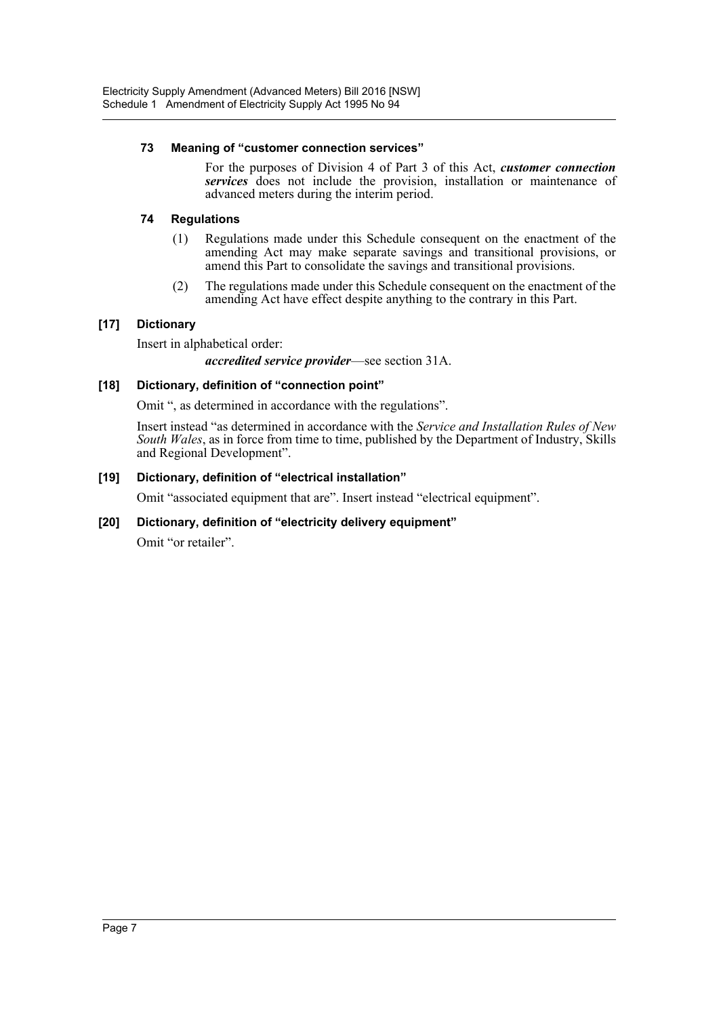#### **73 Meaning of "customer connection services"**

For the purposes of Division 4 of Part 3 of this Act, *customer connection services* does not include the provision, installation or maintenance of advanced meters during the interim period.

#### **74 Regulations**

- (1) Regulations made under this Schedule consequent on the enactment of the amending Act may make separate savings and transitional provisions, or amend this Part to consolidate the savings and transitional provisions.
- (2) The regulations made under this Schedule consequent on the enactment of the amending Act have effect despite anything to the contrary in this Part.

#### **[17] Dictionary**

Insert in alphabetical order:

#### *accredited service provider*—see section 31A.

#### **[18] Dictionary, definition of "connection point"**

Omit ", as determined in accordance with the regulations".

Insert instead "as determined in accordance with the *Service and Installation Rules of New South Wales*, as in force from time to time, published by the Department of Industry, Skills and Regional Development".

#### **[19] Dictionary, definition of "electrical installation"**

Omit "associated equipment that are". Insert instead "electrical equipment".

#### **[20] Dictionary, definition of "electricity delivery equipment"**

Omit "or retailer".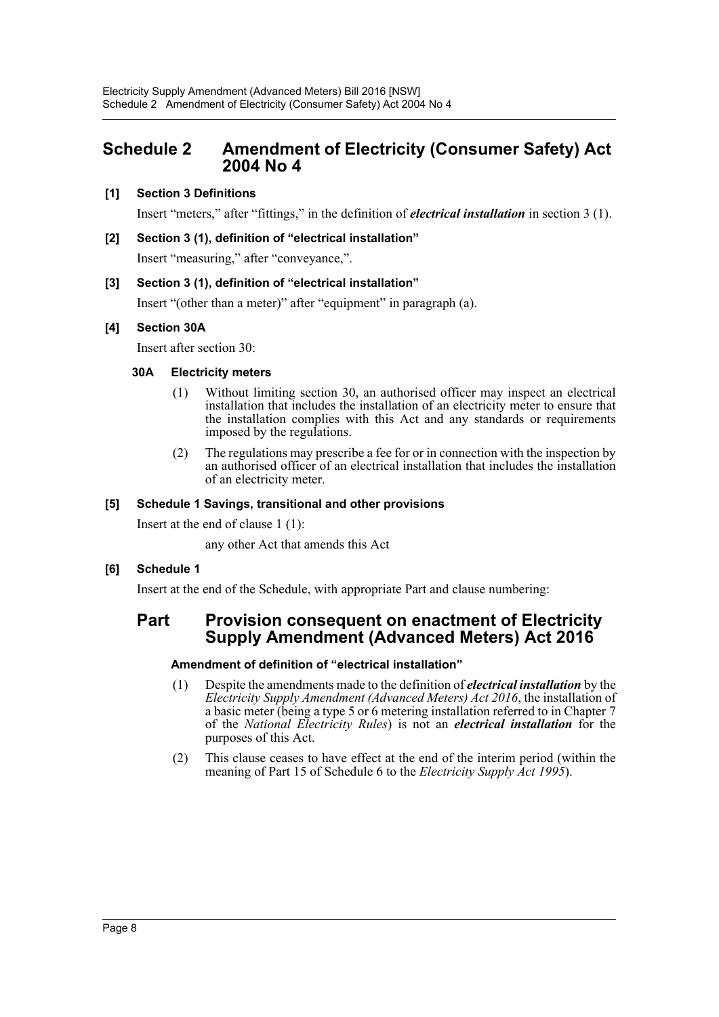## <span id="page-8-0"></span>**Schedule 2 Amendment of Electricity (Consumer Safety) Act 2004 No 4**

#### **[1] Section 3 Definitions**

Insert "meters," after "fittings," in the definition of *electrical installation* in section 3 (1).

#### **[2] Section 3 (1), definition of "electrical installation"**

Insert "measuring," after "conveyance,".

#### **[3] Section 3 (1), definition of "electrical installation"**

Insert "(other than a meter)" after "equipment" in paragraph (a).

#### **[4] Section 30A**

Insert after section 30:

#### **30A Electricity meters**

- (1) Without limiting section 30, an authorised officer may inspect an electrical installation that includes the installation of an electricity meter to ensure that the installation complies with this Act and any standards or requirements imposed by the regulations.
- (2) The regulations may prescribe a fee for or in connection with the inspection by an authorised officer of an electrical installation that includes the installation of an electricity meter.

#### **[5] Schedule 1 Savings, transitional and other provisions**

Insert at the end of clause 1 (1):

any other Act that amends this Act

#### **[6] Schedule 1**

Insert at the end of the Schedule, with appropriate Part and clause numbering:

### **Part Provision consequent on enactment of Electricity Supply Amendment (Advanced Meters) Act 2016**

#### **Amendment of definition of "electrical installation"**

- (1) Despite the amendments made to the definition of *electrical installation* by the *Electricity Supply Amendment (Advanced Meters) Act 2016*, the installation of a basic meter (being a type 5 or 6 metering installation referred to in Chapter 7 of the *National Electricity Rules*) is not an *electrical installation* for the purposes of this Act.
- (2) This clause ceases to have effect at the end of the interim period (within the meaning of Part 15 of Schedule 6 to the *Electricity Supply Act 1995*).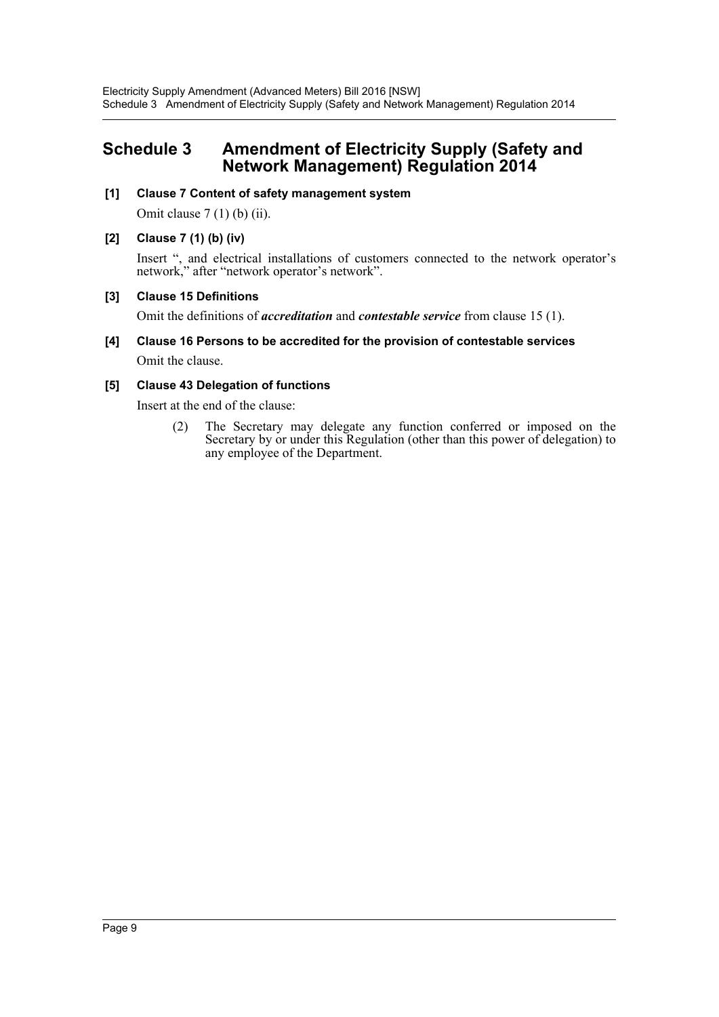## <span id="page-9-0"></span>**Schedule 3 Amendment of Electricity Supply (Safety and Network Management) Regulation 2014**

#### **[1] Clause 7 Content of safety management system**

Omit clause  $7(1)$  (b) (ii).

#### **[2] Clause 7 (1) (b) (iv)**

Insert ", and electrical installations of customers connected to the network operator's network," after "network operator's network".

#### **[3] Clause 15 Definitions**

Omit the definitions of *accreditation* and *contestable service* from clause 15 (1).

**[4] Clause 16 Persons to be accredited for the provision of contestable services** Omit the clause.

#### **[5] Clause 43 Delegation of functions**

Insert at the end of the clause:

(2) The Secretary may delegate any function conferred or imposed on the Secretary by or under this Regulation (other than this power of delegation) to any employee of the Department.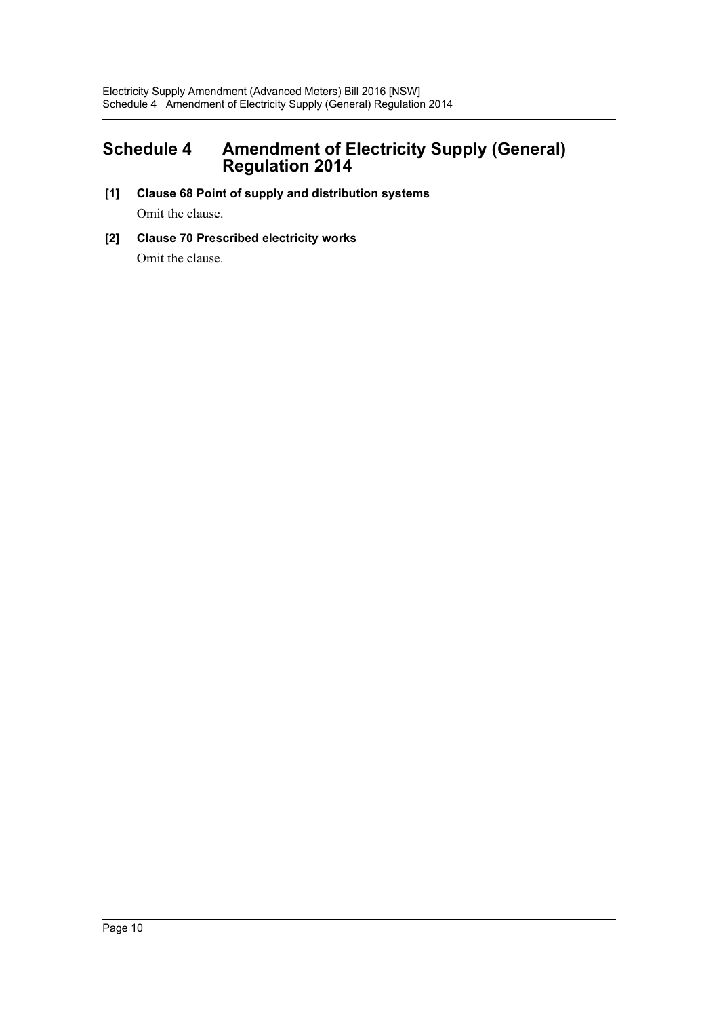## <span id="page-10-0"></span>**Schedule 4 Amendment of Electricity Supply (General) Regulation 2014**

- **[1] Clause 68 Point of supply and distribution systems** Omit the clause.
- **[2] Clause 70 Prescribed electricity works** Omit the clause.